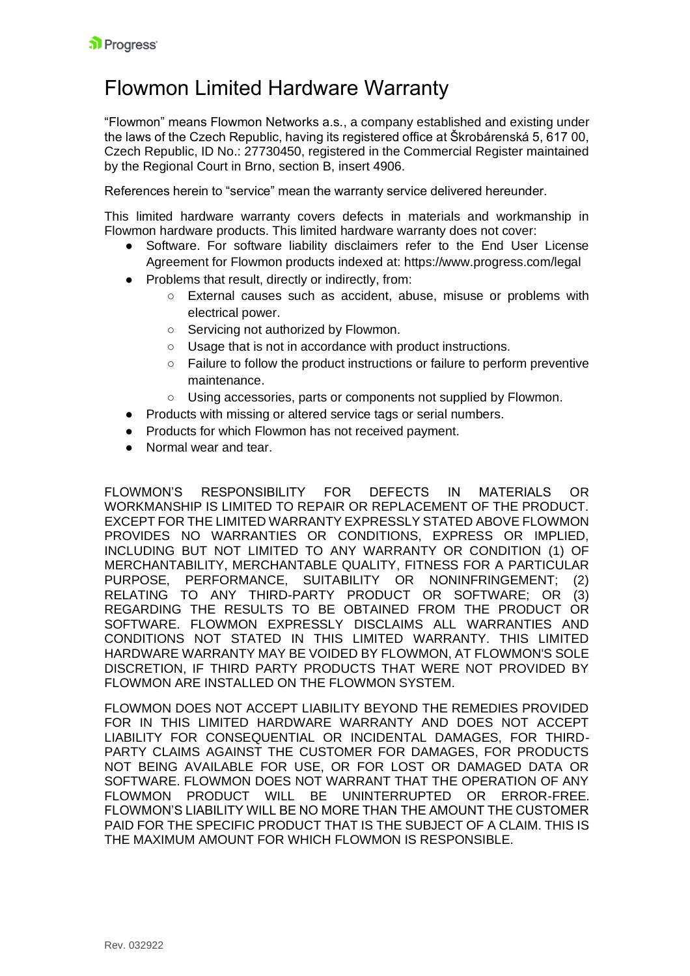## Flowmon Limited Hardware Warranty

"Flowmon" means Flowmon Networks a.s., a company established and existing under the laws of the Czech Republic, having its registered office at Škrobárenská 5, 617 00, Czech Republic, ID No.: 27730450, registered in the Commercial Register maintained by the Regional Court in Brno, section B, insert 4906.

References herein to "service" mean the warranty service delivered hereunder.

This limited hardware warranty covers defects in materials and workmanship in Flowmon hardware products. This limited hardware warranty does not cover:

- Software. For software liability disclaimers refer to the End User License Agreement for Flowmon products indexed at: https://www.progress.com/legal
- Problems that result, directly or indirectly, from:
	- External causes such as accident, abuse, misuse or problems with electrical power.
	- Servicing not authorized by Flowmon.
	- Usage that is not in accordance with product instructions.
	- Failure to follow the product instructions or failure to perform preventive maintenance.
	- Using accessories, parts or components not supplied by Flowmon.
- Products with missing or altered service tags or serial numbers.
- Products for which Flowmon has not received payment.
- Normal wear and tear.

FLOWMON'S RESPONSIBILITY FOR DEFECTS IN MATERIALS OR WORKMANSHIP IS LIMITED TO REPAIR OR REPLACEMENT OF THE PRODUCT. EXCEPT FOR THE LIMITED WARRANTY EXPRESSLY STATED ABOVE FLOWMON PROVIDES NO WARRANTIES OR CONDITIONS, EXPRESS OR IMPLIED, INCLUDING BUT NOT LIMITED TO ANY WARRANTY OR CONDITION (1) OF MERCHANTABILITY, MERCHANTABLE QUALITY, FITNESS FOR A PARTICULAR PURPOSE, PERFORMANCE, SUITABILITY OR NONINFRINGEMENT; (2) RELATING TO ANY THIRD-PARTY PRODUCT OR SOFTWARE; OR (3) REGARDING THE RESULTS TO BE OBTAINED FROM THE PRODUCT OR SOFTWARE. FLOWMON EXPRESSLY DISCLAIMS ALL WARRANTIES AND CONDITIONS NOT STATED IN THIS LIMITED WARRANTY. THIS LIMITED HARDWARE WARRANTY MAY BE VOIDED BY FLOWMON, AT FLOWMON'S SOLE DISCRETION, IF THIRD PARTY PRODUCTS THAT WERE NOT PROVIDED BY FLOWMON ARE INSTALLED ON THE FLOWMON SYSTEM.

FLOWMON DOES NOT ACCEPT LIABILITY BEYOND THE REMEDIES PROVIDED FOR IN THIS LIMITED HARDWARE WARRANTY AND DOES NOT ACCEPT LIABILITY FOR CONSEQUENTIAL OR INCIDENTAL DAMAGES, FOR THIRD-PARTY CLAIMS AGAINST THE CUSTOMER FOR DAMAGES, FOR PRODUCTS NOT BEING AVAILABLE FOR USE, OR FOR LOST OR DAMAGED DATA OR SOFTWARE. FLOWMON DOES NOT WARRANT THAT THE OPERATION OF ANY FLOWMON PRODUCT WILL BE UNINTERRUPTED OR ERROR-FREE. FLOWMON'S LIABILITY WILL BE NO MORE THAN THE AMOUNT THE CUSTOMER PAID FOR THE SPECIFIC PRODUCT THAT IS THE SUBJECT OF A CLAIM. THIS IS THE MAXIMUM AMOUNT FOR WHICH FLOWMON IS RESPONSIBLE.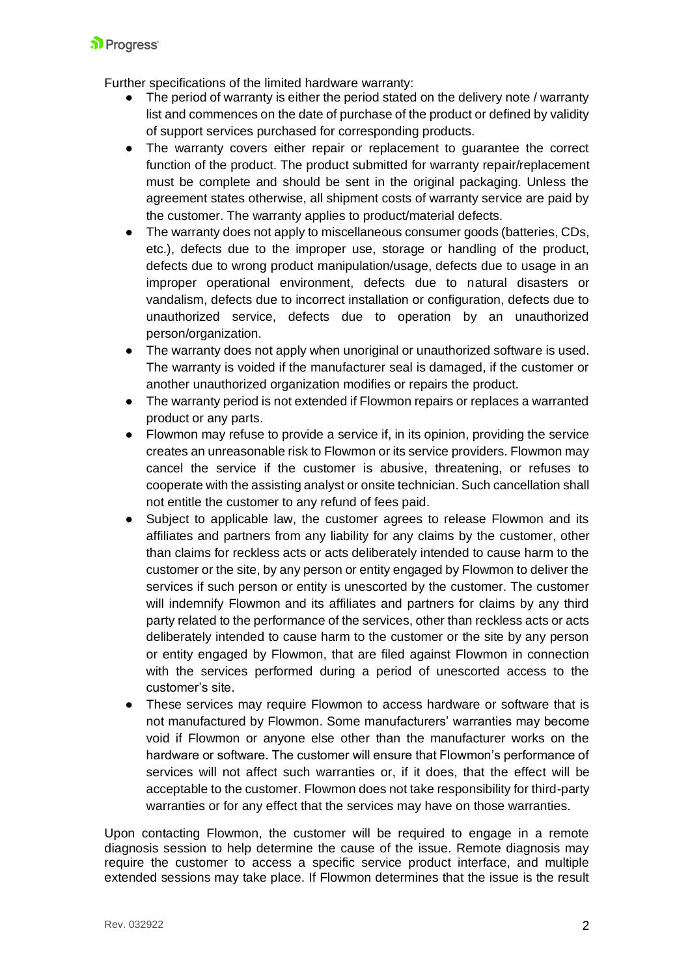Further specifications of the limited hardware warranty:

- The period of warranty is either the period stated on the delivery note / warranty list and commences on the date of purchase of the product or defined by validity of support services purchased for corresponding products.
- The warranty covers either repair or replacement to guarantee the correct function of the product. The product submitted for warranty repair/replacement must be complete and should be sent in the original packaging. Unless the agreement states otherwise, all shipment costs of warranty service are paid by the customer. The warranty applies to product/material defects.
- The warranty does not apply to miscellaneous consumer goods (batteries, CDs, etc.), defects due to the improper use, storage or handling of the product, defects due to wrong product manipulation/usage, defects due to usage in an improper operational environment, defects due to natural disasters or vandalism, defects due to incorrect installation or configuration, defects due to unauthorized service, defects due to operation by an unauthorized person/organization.
- The warranty does not apply when unoriginal or unauthorized software is used. The warranty is voided if the manufacturer seal is damaged, if the customer or another unauthorized organization modifies or repairs the product.
- The warranty period is not extended if Flowmon repairs or replaces a warranted product or any parts.
- Flowmon may refuse to provide a service if, in its opinion, providing the service creates an unreasonable risk to Flowmon or its service providers. Flowmon may cancel the service if the customer is abusive, threatening, or refuses to cooperate with the assisting analyst or onsite technician. Such cancellation shall not entitle the customer to any refund of fees paid.
- Subject to applicable law, the customer agrees to release Flowmon and its affiliates and partners from any liability for any claims by the customer, other than claims for reckless acts or acts deliberately intended to cause harm to the customer or the site, by any person or entity engaged by Flowmon to deliver the services if such person or entity is unescorted by the customer. The customer will indemnify Flowmon and its affiliates and partners for claims by any third party related to the performance of the services, other than reckless acts or acts deliberately intended to cause harm to the customer or the site by any person or entity engaged by Flowmon, that are filed against Flowmon in connection with the services performed during a period of unescorted access to the customer's site.
- These services may require Flowmon to access hardware or software that is not manufactured by Flowmon. Some manufacturers' warranties may become void if Flowmon or anyone else other than the manufacturer works on the hardware or software. The customer will ensure that Flowmon's performance of services will not affect such warranties or, if it does, that the effect will be acceptable to the customer. Flowmon does not take responsibility for third-party warranties or for any effect that the services may have on those warranties.

Upon contacting Flowmon, the customer will be required to engage in a remote diagnosis session to help determine the cause of the issue. Remote diagnosis may require the customer to access a specific service product interface, and multiple extended sessions may take place. If Flowmon determines that the issue is the result